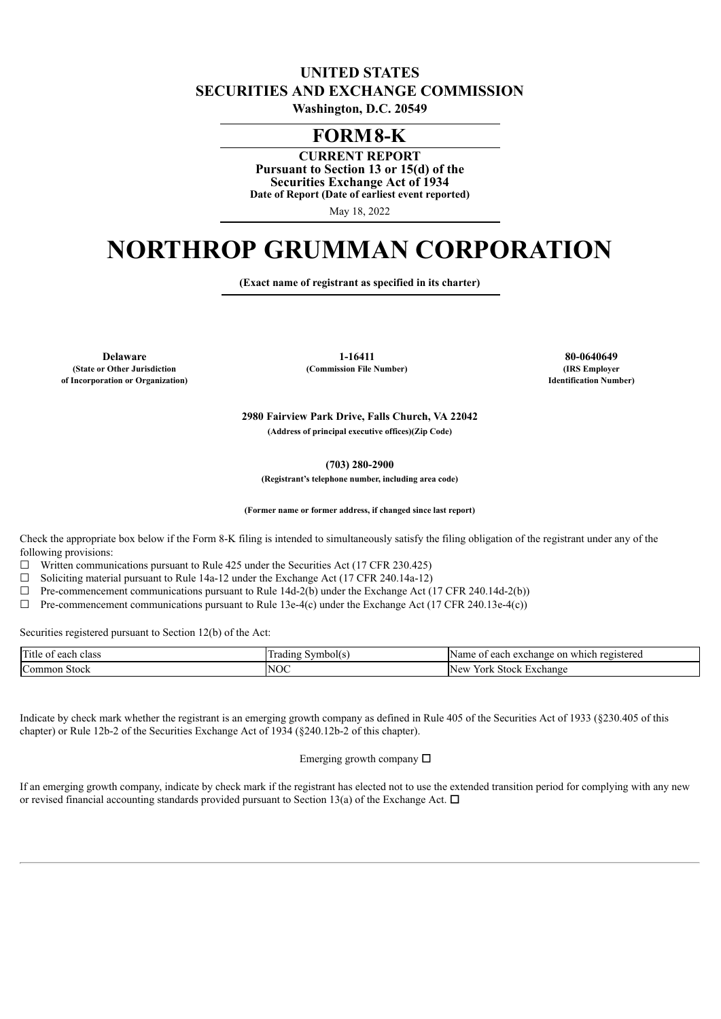# **UNITED STATES SECURITIES AND EXCHANGE COMMISSION**

**Washington, D.C. 20549**

# **FORM8-K**

**CURRENT REPORT Pursuant to Section 13 or 15(d) of the Securities Exchange Act of 1934 Date of Report (Date of earliest event reported)**

May 18, 2022

# **NORTHROP GRUMMAN CORPORATION**

**(Exact name of registrant as specified in its charter)**

**(State or Other Jurisdiction of Incorporation or Organization)**

**Delaware 1-16411 80-0640649 (Commission File Number) (IRS Employer**

**Identification Number)**

**2980 Fairview Park Drive, Falls Church, VA 22042 (Address of principal executive offices)(Zip Code)**

**(703) 280-2900**

**(Registrant's telephone number, including area code)**

**(Former name or former address, if changed since last report)**

Check the appropriate box below if the Form 8-K filing is intended to simultaneously satisfy the filing obligation of the registrant under any of the following provisions:

 $\Box$  Written communications pursuant to Rule 425 under the Securities Act (17 CFR 230.425)

 $\Box$  Soliciting material pursuant to Rule 14a-12 under the Exchange Act (17 CFR 240.14a-12)

 $\Box$  Pre-commencement communications pursuant to Rule 14d-2(b) under the Exchange Act (17 CFR 240.14d-2(b))

 $\Box$  Pre-commencement communications pursuant to Rule 13e-4(c) under the Exchange Act (17 CFR 240.13e-4(c))

Securities registered pursuant to Section 12(b) of the Act:

| Title<br>class<br>each<br>:∪1 | Symbol(s<br>radıng | Name<br>t each exchange on<br>registered<br>which |
|-------------------------------|--------------------|---------------------------------------------------|
| IC<br>Stock<br>Common         | VОC<br>N           | New<br>York<br>Stock<br>Exchange                  |

Indicate by check mark whether the registrant is an emerging growth company as defined in Rule 405 of the Securities Act of 1933 (§230.405 of this chapter) or Rule 12b-2 of the Securities Exchange Act of 1934 (§240.12b-2 of this chapter).

Emerging growth company  $\Box$ 

If an emerging growth company, indicate by check mark if the registrant has elected not to use the extended transition period for complying with any new or revised financial accounting standards provided pursuant to Section 13(a) of the Exchange Act.  $\Box$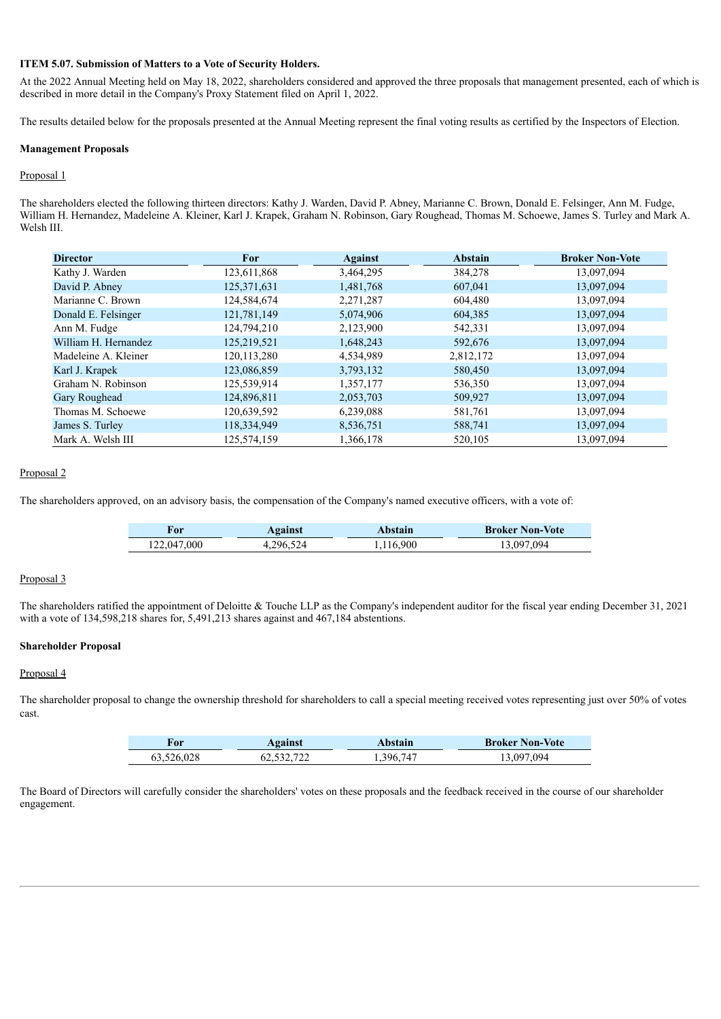#### **ITEM 5.07. Submission of Matters to a Vote of Security Holders.**

At the 2022 Annual Meeting held on May 18, 2022, shareholders considered and approved the three proposals that management presented, each of which is described in more detail in the Company's Proxy Statement filed on April 1, 2022.

The results detailed below for the proposals presented at the Annual Meeting represent the final voting results as certified by the Inspectors of Election.

#### **Management Proposals**

#### Proposal 1

The shareholders elected the following thirteen directors: Kathy J. Warden, David P. Abney, Marianne C. Brown, Donald E. Felsinger, Ann M. Fudge, William H. Hernandez, Madeleine A. Kleiner, Karl J. Krapek, Graham N. Robinson, Gary Roughead, Thomas M. Schoewe, James S. Turley and Mark A. Welsh III.

| <b>Director</b>      | For           | <b>Against</b> | <b>Abstain</b> | <b>Broker Non-Vote</b> |
|----------------------|---------------|----------------|----------------|------------------------|
| Kathy J. Warden      | 123,611,868   | 3,464,295      | 384,278        | 13,097,094             |
| David P. Abney       | 125,371,631   | 1,481,768      | 607,041        | 13,097,094             |
| Marianne C. Brown    | 124,584,674   | 2,271,287      | 604,480        | 13,097,094             |
| Donald E. Felsinger  | 121,781,149   | 5,074,906      | 604,385        | 13,097,094             |
| Ann M. Fudge         | 124,794,210   | 2,123,900      | 542,331        | 13,097,094             |
| William H. Hernandez | 125,219,521   | 1,648,243      | 592,676        | 13,097,094             |
| Madeleine A. Kleiner | 120, 113, 280 | 4,534,989      | 2,812,172      | 13,097,094             |
| Karl J. Krapek       | 123,086,859   | 3,793,132      | 580,450        | 13,097,094             |
| Graham N. Robinson   | 125,539,914   | 1,357,177      | 536,350        | 13,097,094             |
| Gary Roughead        | 124,896,811   | 2,053,703      | 509,927        | 13,097,094             |
| Thomas M. Schoewe    | 120,639,592   | 6,239,088      | 581,761        | 13,097,094             |
| James S. Turley      | 118,334,949   | 8,536,751      | 588,741        | 13,097,094             |
| Mark A. Welsh III    | 125.574.159   | 1.366.178      | 520.105        | 13.097.094             |

## Proposal 2

The shareholders approved, on an advisory basis, the compensation of the Company's named executive officers, with a vote of:

| ror         | Against | Abstain | <b>Broker Non-Vote</b> |
|-------------|---------|---------|------------------------|
| 122,047,000 | 296.524 | 116,900 | 097 094                |

### Proposal 3

The shareholders ratified the appointment of Deloitte & Touche LLP as the Company's independent auditor for the fiscal year ending December 31, 2021 with a vote of 134,598,218 shares for, 5,491,213 shares against and 467,184 abstentions.

#### **Shareholder Proposal**

#### Proposal 4

The shareholder proposal to change the ownership threshold for shareholders to call a special meeting received votes representing just over 50% of votes cast.

| For        | <b>Against</b> | Abstain | <b>Broker Non-Vote</b> |
|------------|----------------|---------|------------------------|
| 63,526,028 | 62,532,722     | 396 747 | 3 097 094              |

The Board of Directors will carefully consider the shareholders' votes on these proposals and the feedback received in the course of our shareholder engagement.